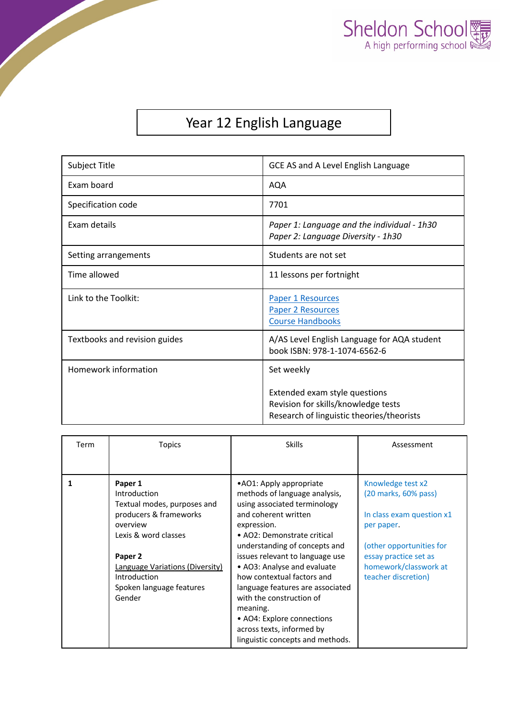

## Year 12 English Language

| <b>Subject Title</b>          | GCE AS and A Level English Language                                                                                             |
|-------------------------------|---------------------------------------------------------------------------------------------------------------------------------|
| Exam board                    | <b>AQA</b>                                                                                                                      |
| Specification code            | 7701                                                                                                                            |
| Exam details                  | Paper 1: Language and the individual - 1h30<br>Paper 2: Language Diversity - 1h30                                               |
| Setting arrangements          | Students are not set                                                                                                            |
| Time allowed                  | 11 lessons per fortnight                                                                                                        |
| Link to the Toolkit:          | Paper 1 Resources<br><b>Paper 2 Resources</b><br><b>Course Handbooks</b>                                                        |
| Textbooks and revision guides | A/AS Level English Language for AQA student<br>book ISBN: 978-1-1074-6562-6                                                     |
| Homework information          | Set weekly<br>Extended exam style questions<br>Revision for skills/knowledge tests<br>Research of linguistic theories/theorists |

| Term | <b>Topics</b>                               | <b>Skills</b>                                                 | Assessment                |
|------|---------------------------------------------|---------------------------------------------------------------|---------------------------|
|      |                                             |                                                               |                           |
|      | Paper 1                                     | •AO1: Apply appropriate                                       | Knowledge test x2         |
|      | Introduction<br>Textual modes, purposes and | methods of language analysis,<br>using associated terminology | (20 marks, 60% pass)      |
|      | producers & frameworks                      | and coherent written                                          | In class exam question x1 |
|      | overview                                    | expression.                                                   | per paper.                |
|      | Lexis & word classes                        | • AO2: Demonstrate critical                                   |                           |
|      |                                             | understanding of concepts and                                 | (other opportunities for  |
|      | Paper <sub>2</sub>                          | issues relevant to language use                               | essay practice set as     |
|      | Language Variations (Diversity)             | • AO3: Analyse and evaluate                                   | homework/classwork at     |
|      | <b>Introduction</b>                         | how contextual factors and                                    | teacher discretion)       |
|      | Spoken language features                    | language features are associated                              |                           |
|      | Gender                                      | with the construction of                                      |                           |
|      |                                             | meaning.                                                      |                           |
|      |                                             | • AO4: Explore connections                                    |                           |
|      |                                             | across texts, informed by                                     |                           |
|      |                                             | linguistic concepts and methods.                              |                           |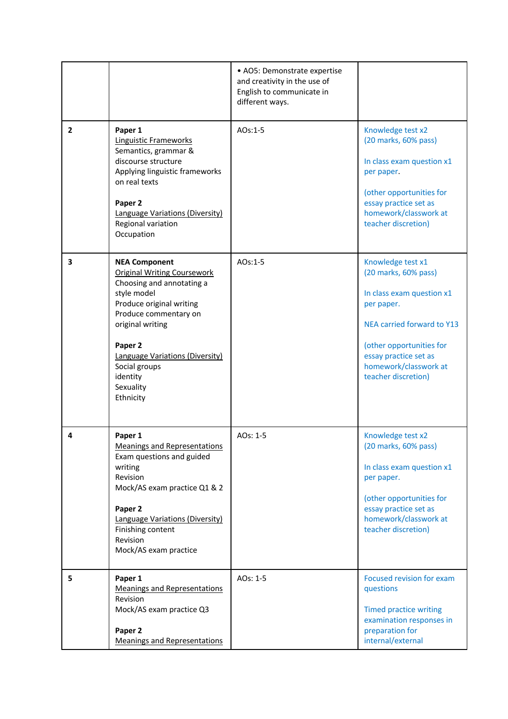|              |                                                                                                                                                                                                                                                                                      | • AO5: Demonstrate expertise<br>and creativity in the use of<br>English to communicate in<br>different ways. |                                                                                                                                                                                                                         |
|--------------|--------------------------------------------------------------------------------------------------------------------------------------------------------------------------------------------------------------------------------------------------------------------------------------|--------------------------------------------------------------------------------------------------------------|-------------------------------------------------------------------------------------------------------------------------------------------------------------------------------------------------------------------------|
| $\mathbf{2}$ | Paper 1<br><b>Linguistic Frameworks</b><br>Semantics, grammar &<br>discourse structure<br>Applying linguistic frameworks<br>on real texts<br>Paper 2<br>Language Variations (Diversity)<br>Regional variation<br>Occupation                                                          | AOs:1-5                                                                                                      | Knowledge test x2<br>(20 marks, 60% pass)<br>In class exam question x1<br>per paper.<br>(other opportunities for<br>essay practice set as<br>homework/classwork at<br>teacher discretion)                               |
| 3            | <b>NEA Component</b><br><b>Original Writing Coursework</b><br>Choosing and annotating a<br>style model<br>Produce original writing<br>Produce commentary on<br>original writing<br>Paper 2<br>Language Variations (Diversity)<br>Social groups<br>identity<br>Sexuality<br>Ethnicity | AOs:1-5                                                                                                      | Knowledge test x1<br>(20 marks, 60% pass)<br>In class exam question x1<br>per paper.<br>NEA carried forward to Y13<br>(other opportunities for<br>essay practice set as<br>homework/classwork at<br>teacher discretion) |
| 4            | Paper 1<br><b>Meanings and Representations</b><br>Exam questions and guided<br>writing<br>Revision<br>Mock/AS exam practice Q1 & 2<br>Paper 2<br><b>Language Variations (Diversity)</b><br>Finishing content<br>Revision<br>Mock/AS exam practice                                    | AOs: 1-5                                                                                                     | Knowledge test x2<br>(20 marks, 60% pass)<br>In class exam question x1<br>per paper.<br>(other opportunities for<br>essay practice set as<br>homework/classwork at<br>teacher discretion)                               |
| 5            | Paper 1<br><b>Meanings and Representations</b><br>Revision<br>Mock/AS exam practice Q3<br>Paper 2<br><b>Meanings and Representations</b>                                                                                                                                             | AOs: 1-5                                                                                                     | Focused revision for exam<br>questions<br><b>Timed practice writing</b><br>examination responses in<br>preparation for<br>internal/external                                                                             |